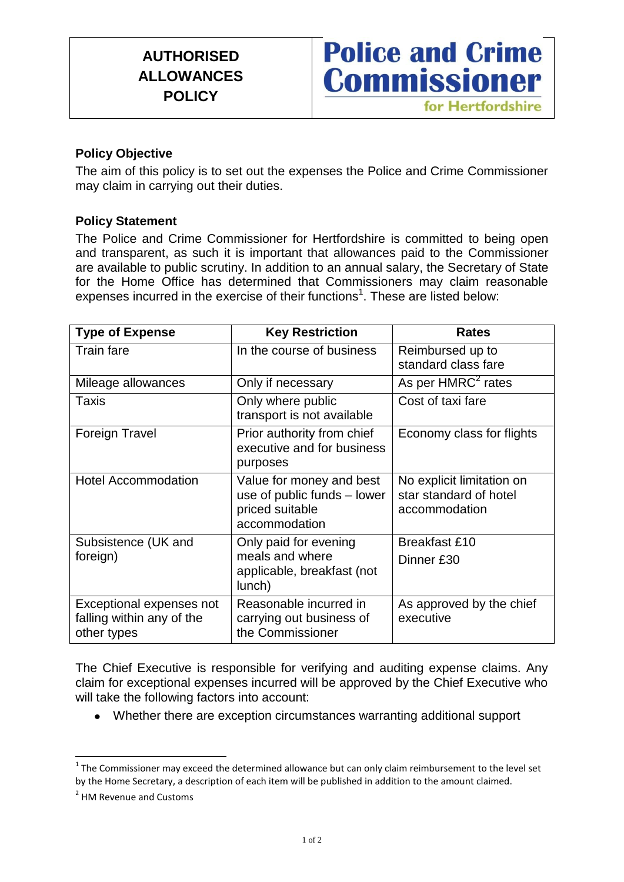# **AUTHORISED ALLOWANCES POLICY**



### **Policy Objective**

The aim of this policy is to set out the expenses the Police and Crime Commissioner may claim in carrying out their duties.

### **Policy Statement**

The Police and Crime Commissioner for Hertfordshire is committed to being open and transparent, as such it is important that allowances paid to the Commissioner are available to public scrutiny. In addition to an annual salary, the Secretary of State for the Home Office has determined that Commissioners may claim reasonable expenses incurred in the exercise of their functions<sup>1</sup>. These are listed below:

| <b>Type of Expense</b>                                               | <b>Key Restriction</b>                                                                      | <b>Rates</b>                                                         |
|----------------------------------------------------------------------|---------------------------------------------------------------------------------------------|----------------------------------------------------------------------|
| <b>Train fare</b>                                                    | In the course of business                                                                   | Reimbursed up to<br>standard class fare                              |
| Mileage allowances                                                   | Only if necessary                                                                           | As per HMRC <sup>2</sup> rates                                       |
| <b>Taxis</b>                                                         | Only where public<br>transport is not available                                             | Cost of taxi fare                                                    |
| <b>Foreign Travel</b>                                                | Prior authority from chief<br>executive and for business<br>purposes                        | Economy class for flights                                            |
| <b>Hotel Accommodation</b>                                           | Value for money and best<br>use of public funds - lower<br>priced suitable<br>accommodation | No explicit limitation on<br>star standard of hotel<br>accommodation |
| Subsistence (UK and<br>foreign)                                      | Only paid for evening<br>meals and where<br>applicable, breakfast (not<br>lunch)            | <b>Breakfast £10</b><br>Dinner £30                                   |
| Exceptional expenses not<br>falling within any of the<br>other types | Reasonable incurred in<br>carrying out business of<br>the Commissioner                      | As approved by the chief<br>executive                                |

The Chief Executive is responsible for verifying and auditing expense claims. Any claim for exceptional expenses incurred will be approved by the Chief Executive who will take the following factors into account:

Whether there are exception circumstances warranting additional support

 1 The Commissioner may exceed the determined allowance but can only claim reimbursement to the level set by the Home Secretary, a description of each item will be published in addition to the amount claimed.

<sup>&</sup>lt;sup>2</sup> HM Revenue and Customs